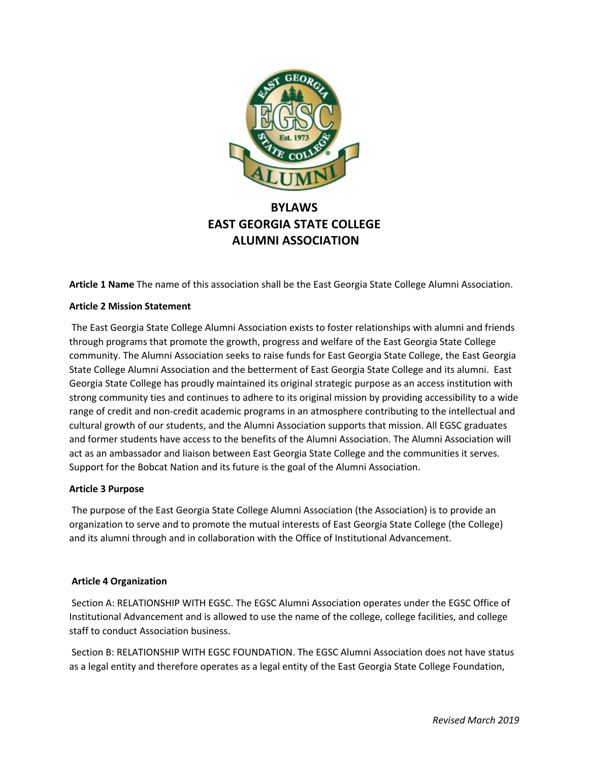

# **BYLAWS EAST GEORGIA STATE COLLEGE ALUMNI ASSOCIATION**

**Article 1 Name** The name of this association shall be the East Georgia State College Alumni Association.

## **Article 2 Mission Statement**

The East Georgia State College Alumni Association exists to foster relationships with alumni and friends through programs that promote the growth, progress and welfare of the East Georgia State College community. The Alumni Association seeks to raise funds for East Georgia State College, the East Georgia State College Alumni Association and the betterment of East Georgia State College and its alumni. East Georgia State College has proudly maintained its original strategic purpose as an access institution with strong community ties and continues to adhere to its original mission by providing accessibility to a wide range of credit and non-credit academic programs in an atmosphere contributing to the intellectual and cultural growth of our students, and the Alumni Association supports that mission. All EGSC graduates and former students have access to the benefits of the Alumni Association. The Alumni Association will act as an ambassador and liaison between East Georgia State College and the communities it serves. Support for the Bobcat Nation and its future is the goal of the Alumni Association.

#### **Article 3 Purpose**

The purpose of the East Georgia State College Alumni Association (the Association) is to provide an organization to serve and to promote the mutual interests of East Georgia State College (the College) and its alumni through and in collaboration with the Office of Institutional Advancement.

#### **Article 4 Organization**

Section A: RELATIONSHIP WITH EGSC. The EGSC Alumni Association operates under the EGSC Office of Institutional Advancement and is allowed to use the name of the college, college facilities, and college staff to conduct Association business.

Section B: RELATIONSHIP WITH EGSC FOUNDATION. The EGSC Alumni Association does not have status as a legal entity and therefore operates as a legal entity of the East Georgia State College Foundation,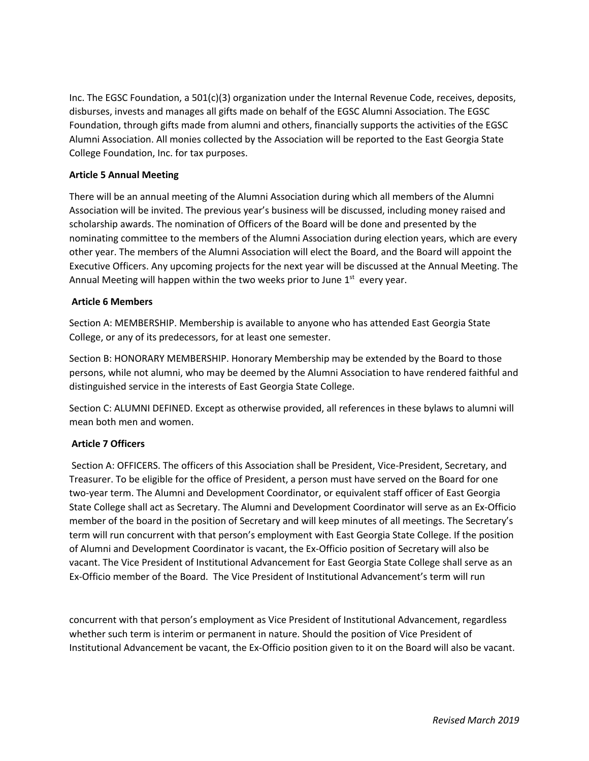Inc. The EGSC Foundation, a 501(c)(3) organization under the Internal Revenue Code, receives, deposits, disburses, invests and manages all gifts made on behalf of the EGSC Alumni Association. The EGSC Foundation, through gifts made from alumni and others, financially supports the activities of the EGSC Alumni Association. All monies collected by the Association will be reported to the East Georgia State College Foundation, Inc. for tax purposes.

### **Article 5 Annual Meeting**

There will be an annual meeting of the Alumni Association during which all members of the Alumni Association will be invited. The previous year's business will be discussed, including money raised and scholarship awards. The nomination of Officers of the Board will be done and presented by the nominating committee to the members of the Alumni Association during election years, which are every other year. The members of the Alumni Association will elect the Board, and the Board will appoint the Executive Officers. Any upcoming projects for the next year will be discussed at the Annual Meeting. The Annual Meeting will happen within the two weeks prior to June  $1<sup>st</sup>$  every year.

#### **Article 6 Members**

Section A: MEMBERSHIP. Membership is available to anyone who has attended East Georgia State College, or any of its predecessors, for at least one semester.

Section B: HONORARY MEMBERSHIP. Honorary Membership may be extended by the Board to those persons, while not alumni, who may be deemed by the Alumni Association to have rendered faithful and distinguished service in the interests of East Georgia State College.

Section C: ALUMNI DEFINED. Except as otherwise provided, all references in these bylaws to alumni will mean both men and women.

## **Article 7 Officers**

Section A: OFFICERS. The officers of this Association shall be President, Vice-President, Secretary, and Treasurer. To be eligible for the office of President, a person must have served on the Board for one two-year term. The Alumni and Development Coordinator, or equivalent staff officer of East Georgia State College shall act as Secretary. The Alumni and Development Coordinator will serve as an Ex-Officio member of the board in the position of Secretary and will keep minutes of all meetings. The Secretary's term will run concurrent with that person's employment with East Georgia State College. If the position of Alumni and Development Coordinator is vacant, the Ex-Officio position of Secretary will also be vacant. The Vice President of Institutional Advancement for East Georgia State College shall serve as an Ex-Officio member of the Board. The Vice President of Institutional Advancement's term will run

concurrent with that person's employment as Vice President of Institutional Advancement, regardless whether such term is interim or permanent in nature. Should the position of Vice President of Institutional Advancement be vacant, the Ex-Officio position given to it on the Board will also be vacant.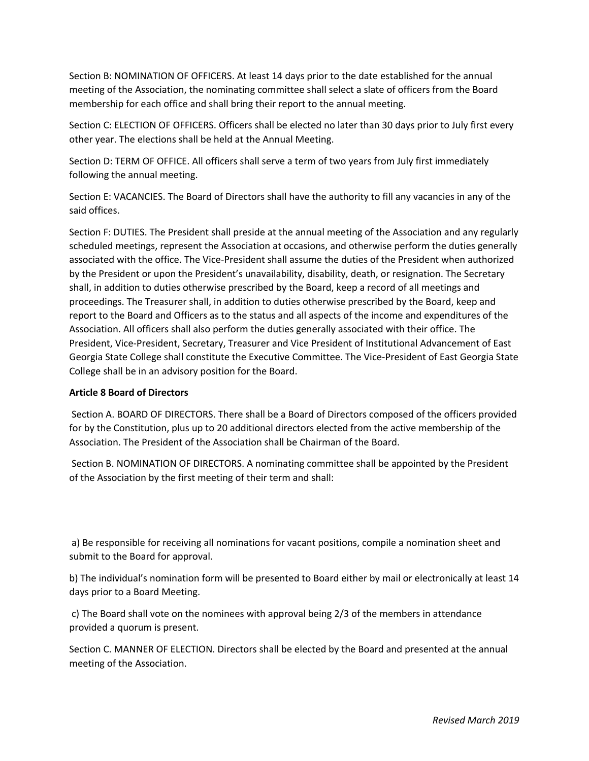Section B: NOMINATION OF OFFICERS. At least 14 days prior to the date established for the annual meeting of the Association, the nominating committee shall select a slate of officers from the Board membership for each office and shall bring their report to the annual meeting.

Section C: ELECTION OF OFFICERS. Officers shall be elected no later than 30 days prior to July first every other year. The elections shall be held at the Annual Meeting.

Section D: TERM OF OFFICE. All officers shall serve a term of two years from July first immediately following the annual meeting.

Section E: VACANCIES. The Board of Directors shall have the authority to fill any vacancies in any of the said offices.

Section F: DUTIES. The President shall preside at the annual meeting of the Association and any regularly scheduled meetings, represent the Association at occasions, and otherwise perform the duties generally associated with the office. The Vice-President shall assume the duties of the President when authorized by the President or upon the President's unavailability, disability, death, or resignation. The Secretary shall, in addition to duties otherwise prescribed by the Board, keep a record of all meetings and proceedings. The Treasurer shall, in addition to duties otherwise prescribed by the Board, keep and report to the Board and Officers as to the status and all aspects of the income and expenditures of the Association. All officers shall also perform the duties generally associated with their office. The President, Vice-President, Secretary, Treasurer and Vice President of Institutional Advancement of East Georgia State College shall constitute the Executive Committee. The Vice-President of East Georgia State College shall be in an advisory position for the Board.

#### **Article 8 Board of Directors**

Section A. BOARD OF DIRECTORS. There shall be a Board of Directors composed of the officers provided for by the Constitution, plus up to 20 additional directors elected from the active membership of the Association. The President of the Association shall be Chairman of the Board.

Section B. NOMINATION OF DIRECTORS. A nominating committee shall be appointed by the President of the Association by the first meeting of their term and shall:

a) Be responsible for receiving all nominations for vacant positions, compile a nomination sheet and submit to the Board for approval.

b) The individual's nomination form will be presented to Board either by mail or electronically at least 14 days prior to a Board Meeting.

c) The Board shall vote on the nominees with approval being 2/3 of the members in attendance provided a quorum is present.

Section C. MANNER OF ELECTION. Directors shall be elected by the Board and presented at the annual meeting of the Association.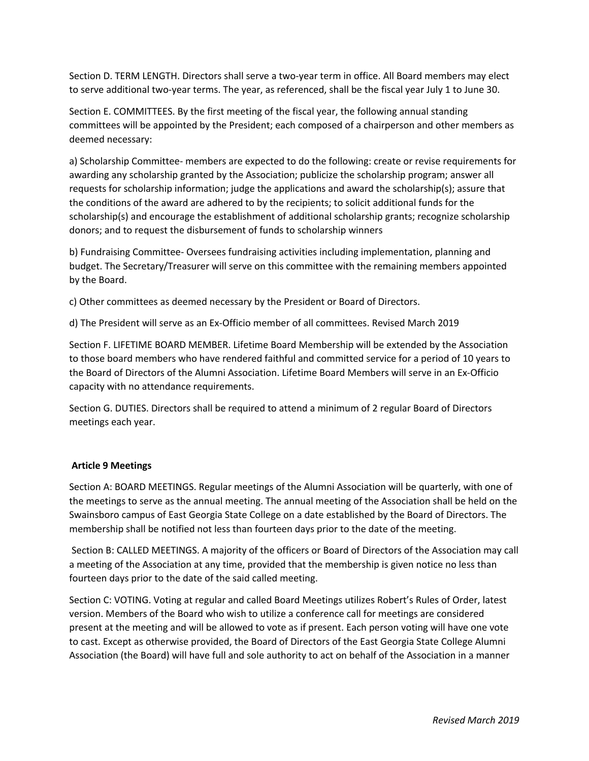Section D. TERM LENGTH. Directors shall serve a two-year term in office. All Board members may elect to serve additional two-year terms. The year, as referenced, shall be the fiscal year July 1 to June 30.

Section E. COMMITTEES. By the first meeting of the fiscal year, the following annual standing committees will be appointed by the President; each composed of a chairperson and other members as deemed necessary:

a) Scholarship Committee- members are expected to do the following: create or revise requirements for awarding any scholarship granted by the Association; publicize the scholarship program; answer all requests for scholarship information; judge the applications and award the scholarship(s); assure that the conditions of the award are adhered to by the recipients; to solicit additional funds for the scholarship(s) and encourage the establishment of additional scholarship grants; recognize scholarship donors; and to request the disbursement of funds to scholarship winners

b) Fundraising Committee- Oversees fundraising activities including implementation, planning and budget. The Secretary/Treasurer will serve on this committee with the remaining members appointed by the Board.

c) Other committees as deemed necessary by the President or Board of Directors.

d) The President will serve as an Ex-Officio member of all committees. Revised March 2019

Section F. LIFETIME BOARD MEMBER. Lifetime Board Membership will be extended by the Association to those board members who have rendered faithful and committed service for a period of 10 years to the Board of Directors of the Alumni Association. Lifetime Board Members will serve in an Ex-Officio capacity with no attendance requirements.

Section G. DUTIES. Directors shall be required to attend a minimum of 2 regular Board of Directors meetings each year.

#### **Article 9 Meetings**

Section A: BOARD MEETINGS. Regular meetings of the Alumni Association will be quarterly, with one of the meetings to serve as the annual meeting. The annual meeting of the Association shall be held on the Swainsboro campus of East Georgia State College on a date established by the Board of Directors. The membership shall be notified not less than fourteen days prior to the date of the meeting.

Section B: CALLED MEETINGS. A majority of the officers or Board of Directors of the Association may call a meeting of the Association at any time, provided that the membership is given notice no less than fourteen days prior to the date of the said called meeting.

Section C: VOTING. Voting at regular and called Board Meetings utilizes Robert's Rules of Order, latest version. Members of the Board who wish to utilize a conference call for meetings are considered present at the meeting and will be allowed to vote as if present. Each person voting will have one vote to cast. Except as otherwise provided, the Board of Directors of the East Georgia State College Alumni Association (the Board) will have full and sole authority to act on behalf of the Association in a manner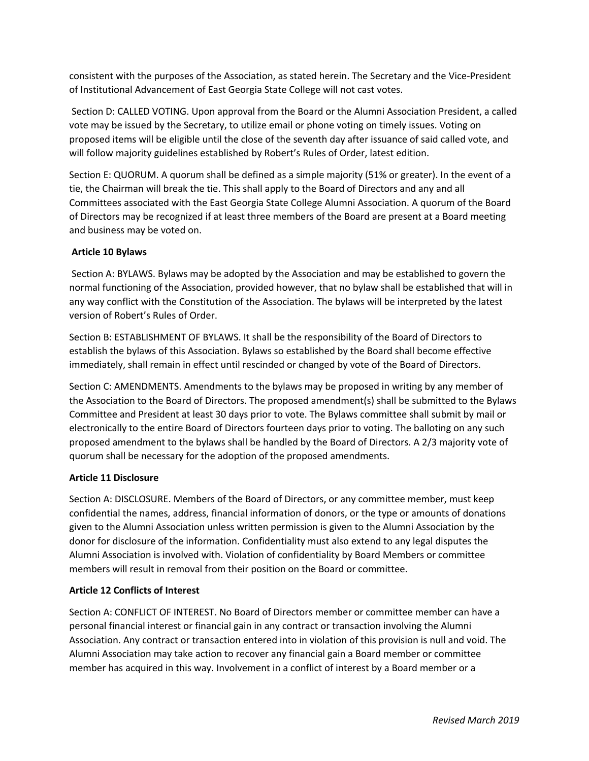consistent with the purposes of the Association, as stated herein. The Secretary and the Vice-President of Institutional Advancement of East Georgia State College will not cast votes.

Section D: CALLED VOTING. Upon approval from the Board or the Alumni Association President, a called vote may be issued by the Secretary, to utilize email or phone voting on timely issues. Voting on proposed items will be eligible until the close of the seventh day after issuance of said called vote, and will follow majority guidelines established by Robert's Rules of Order, latest edition.

Section E: QUORUM. A quorum shall be defined as a simple majority (51% or greater). In the event of a tie, the Chairman will break the tie. This shall apply to the Board of Directors and any and all Committees associated with the East Georgia State College Alumni Association. A quorum of the Board of Directors may be recognized if at least three members of the Board are present at a Board meeting and business may be voted on.

## **Article 10 Bylaws**

Section A: BYLAWS. Bylaws may be adopted by the Association and may be established to govern the normal functioning of the Association, provided however, that no bylaw shall be established that will in any way conflict with the Constitution of the Association. The bylaws will be interpreted by the latest version of Robert's Rules of Order.

Section B: ESTABLISHMENT OF BYLAWS. It shall be the responsibility of the Board of Directors to establish the bylaws of this Association. Bylaws so established by the Board shall become effective immediately, shall remain in effect until rescinded or changed by vote of the Board of Directors.

Section C: AMENDMENTS. Amendments to the bylaws may be proposed in writing by any member of the Association to the Board of Directors. The proposed amendment(s) shall be submitted to the Bylaws Committee and President at least 30 days prior to vote. The Bylaws committee shall submit by mail or electronically to the entire Board of Directors fourteen days prior to voting. The balloting on any such proposed amendment to the bylaws shall be handled by the Board of Directors. A 2/3 majority vote of quorum shall be necessary for the adoption of the proposed amendments.

## **Article 11 Disclosure**

Section A: DISCLOSURE. Members of the Board of Directors, or any committee member, must keep confidential the names, address, financial information of donors, or the type or amounts of donations given to the Alumni Association unless written permission is given to the Alumni Association by the donor for disclosure of the information. Confidentiality must also extend to any legal disputes the Alumni Association is involved with. Violation of confidentiality by Board Members or committee members will result in removal from their position on the Board or committee.

## **Article 12 Conflicts of Interest**

Section A: CONFLICT OF INTEREST. No Board of Directors member or committee member can have a personal financial interest or financial gain in any contract or transaction involving the Alumni Association. Any contract or transaction entered into in violation of this provision is null and void. The Alumni Association may take action to recover any financial gain a Board member or committee member has acquired in this way. Involvement in a conflict of interest by a Board member or a